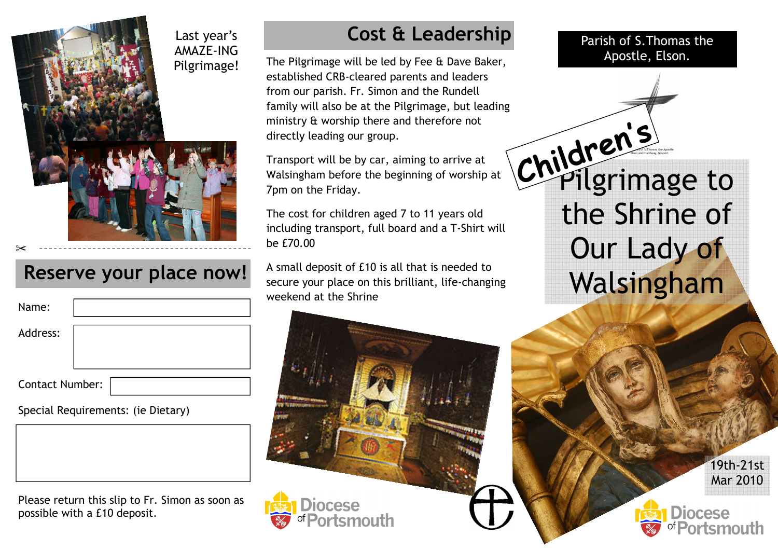

#### Reserve your place now!

| Name:                  |  |
|------------------------|--|
| Address:               |  |
|                        |  |
| <b>Contact Number:</b> |  |

Special Requirements: (ie Dietary)

Please return this slip to Fr. Simon as soon as possible with a £10 deposit.

## Cost & Leadership

Apostle, Elson. The Pilgrimage will be led by Fee & Dave Baker, established CRB-cleared parents and leaders from our parish. Fr. Simon and the Rundell family will also be at the Pilgrimage, but leading ministry & worship there and therefore not directly leading our group.

Transport will be by car, aiming to arrive at Walsingham before the beginning of worship at 7pm on the Friday.

The cost for children aged 7 to 11 years old including transport, full board and a T-Shirt will be £70.00

A small deposit of £10 is all that is needed to secure your place on this brilliant, life-changing weekend at the Shrine

INCASA

Parish of S.Thomas the

's

Pilgrimage to the Shrine of Our Lady of Walsingham Children

> 19th-21st Mar 2010

**Diocese**